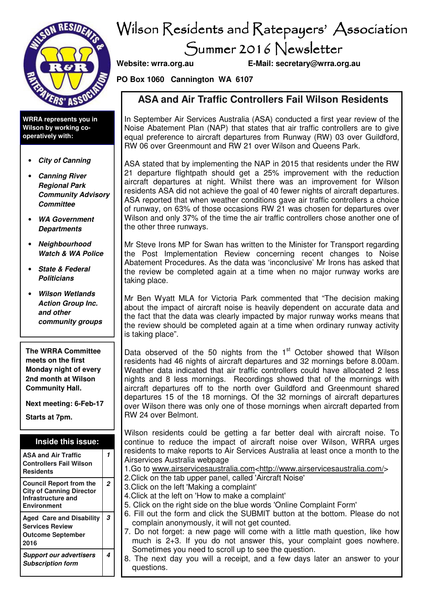

**WRRA represents you in Wilson by working cooperatively with:** 

- **City of Canning**
- **Canning River Regional Park Community Advisory Committee**
- **WA Government Departments**
- **Neighbourhood Watch & WA Police**
- **State & Federal Politicians**
- **Wilson Wetlands Action Group Inc. and other community groups**

**The WRRA Committee meets on the first Monday night of every 2nd month at Wilson Community Hall.** 

**Next meeting: 6-Feb-17** 

**Starts at 7pm.** 

#### **Inside this issue:**

| <b>ASA and Air Traffic</b><br><b>Controllers Fail Wilson</b><br><b>Residents</b>                              |                |
|---------------------------------------------------------------------------------------------------------------|----------------|
| <b>Council Report from the</b><br><b>City of Canning Director</b><br>Infrastructure and<br><b>Environment</b> | $\overline{c}$ |
| <b>Aged Care and Disability</b><br><b>Services Review</b><br><b>Outcome September</b><br>2016                 | 3              |
|                                                                                                               |                |

# Wilson Residents and Ratepayers' Association Summer 2016 Newsletter

**Website: wrra.org.au E-Mail: secretary@wrra.org.au** 

**PO Box 1060 Cannington WA 6107** 

### **ASA and Air Traffic Controllers Fail Wilson Residents**

In September Air Services Australia (ASA) conducted a first year review of the Noise Abatement Plan (NAP) that states that air traffic controllers are to give equal preference to aircraft departures from Runway (RW) 03 over Guildford, RW 06 over Greenmount and RW 21 over Wilson and Queens Park.

ASA stated that by implementing the NAP in 2015 that residents under the RW 21 departure flightpath should get a 25% improvement with the reduction aircraft departures at night. Whilst there was an improvement for Wilson residents ASA did not achieve the goal of 40 fewer nights of aircraft departures. ASA reported that when weather conditions gave air traffic controllers a choice of runway, on 63% of those occasions RW 21 was chosen for departures over Wilson and only 37% of the time the air traffic controllers chose another one of the other three runways.

Mr Steve Irons MP for Swan has written to the Minister for Transport regarding the Post Implementation Review concerning recent changes to Noise Abatement Procedures. As the data was 'inconclusive' Mr Irons has asked that the review be completed again at a time when no major runway works are taking place.

Mr Ben Wyatt MLA for Victoria Park commented that "The decision making about the impact of aircraft noise is heavily dependent on accurate data and the fact that the data was clearly impacted by major runway works means that the review should be completed again at a time when ordinary runway activity is taking place".

Data observed of the 50 nights from the  $1<sup>st</sup>$  October showed that Wilson residents had 46 nights of aircraft departures and 32 mornings before 8.00am. Weather data indicated that air traffic controllers could have allocated 2 less nights and 8 less mornings. Recordings showed that of the mornings with aircraft departures off to the north over Guildford and Greenmount shared departures 15 of the 18 mornings. Of the 32 mornings of aircraft departures over Wilson there was only one of those mornings when aircraft departed from RW 24 over Belmont.

Wilson residents could be getting a far better deal with aircraft noise. To continue to reduce the impact of aircraft noise over Wilson, WRRA urges residents to make reports to Air Services Australia at least once a month to the Airservices Australia webpage

1.Go to www.airservicesaustralia.com<http://www.airservicesaustralia.com/>

- 2.Click on the tab upper panel, called 'Aircraft Noise'
- 3.Click on the left 'Making a complaint'
- 4.Click at the left on 'How to make a complaint'
- 5. Click on the right side on the blue words 'Online Complaint Form'
	- 6. Fill out the form and click the SUBMIT button at the bottom. Please do not complain anonymously, it will not get counted.
	- 7. Do not forget: a new page will come with a little math question, like how much is 2+3. If you do not answer this, your complaint goes nowhere. Sometimes you need to scroll up to see the question.
	- 8. The next day you will a receipt, and a few days later an answer to your questions.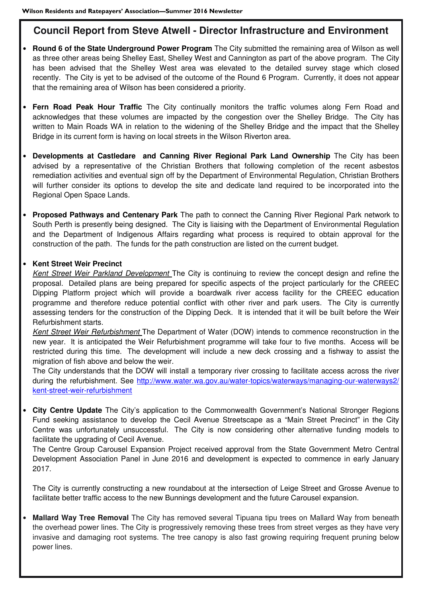# **Council Report from Steve Atwell - Director Infrastructure and Environment**

- **Round 6 of the State Underground Power Program** The City submitted the remaining area of Wilson as well as three other areas being Shelley East, Shelley West and Cannington as part of the above program. The City has been advised that the Shelley West area was elevated to the detailed survey stage which closed recently. The City is yet to be advised of the outcome of the Round 6 Program. Currently, it does not appear that the remaining area of Wilson has been considered a priority.
- **Fern Road Peak Hour Traffic** The City continually monitors the traffic volumes along Fern Road and acknowledges that these volumes are impacted by the congestion over the Shelley Bridge. The City has written to Main Roads WA in relation to the widening of the Shelley Bridge and the impact that the Shelley Bridge in its current form is having on local streets in the Wilson Riverton area.
- **Developments at Castledare and Canning River Regional Park Land Ownership** The City has been advised by a representative of the Christian Brothers that following completion of the recent asbestos remediation activities and eventual sign off by the Department of Environmental Regulation, Christian Brothers will further consider its options to develop the site and dedicate land required to be incorporated into the Regional Open Space Lands.
- **Proposed Pathways and Centenary Park** The path to connect the Canning River Regional Park network to South Perth is presently being designed. The City is liaising with the Department of Environmental Regulation and the Department of Indigenous Affairs regarding what process is required to obtain approval for the construction of the path. The funds for the path construction are listed on the current budget.

#### • **Kent Street Weir Precinct**

 *Kent Street Weir Parkland Development* The City is continuing to review the concept design and refine the proposal. Detailed plans are being prepared for specific aspects of the project particularly for the CREEC Dipping Platform project which will provide a boardwalk river access facility for the CREEC education programme and therefore reduce potential conflict with other river and park users. The City is currently assessing tenders for the construction of the Dipping Deck. It is intended that it will be built before the Weir Refurbishment starts.

 *Kent Street Weir Refurbishment* The Department of Water (DOW) intends to commence reconstruction in the new year. It is anticipated the Weir Refurbishment programme will take four to five months. Access will be restricted during this time. The development will include a new deck crossing and a fishway to assist the migration of fish above and below the weir.

 The City understands that the DOW will install a temporary river crossing to facilitate access across the river during the refurbishment. See http://www.water.wa.gov.au/water-topics/waterways/managing-our-waterways2/ kent-street-weir-refurbishment

• **City Centre Update** The City's application to the Commonwealth Government's National Stronger Regions Fund seeking assistance to develop the Cecil Avenue Streetscape as a "Main Street Precinct" in the City Centre was unfortunately unsuccessful. The City is now considering other alternative funding models to facilitate the upgrading of Cecil Avenue.

 The Centre Group Carousel Expansion Project received approval from the State Government Metro Central Development Association Panel in June 2016 and development is expected to commence in early January 2017.

 The City is currently constructing a new roundabout at the intersection of Leige Street and Grosse Avenue to facilitate better traffic access to the new Bunnings development and the future Carousel expansion.

• **Mallard Way Tree Removal** The City has removed several Tipuana tipu trees on Mallard Way from beneath the overhead power lines. The City is progressively removing these trees from street verges as they have very invasive and damaging root systems. The tree canopy is also fast growing requiring frequent pruning below power lines.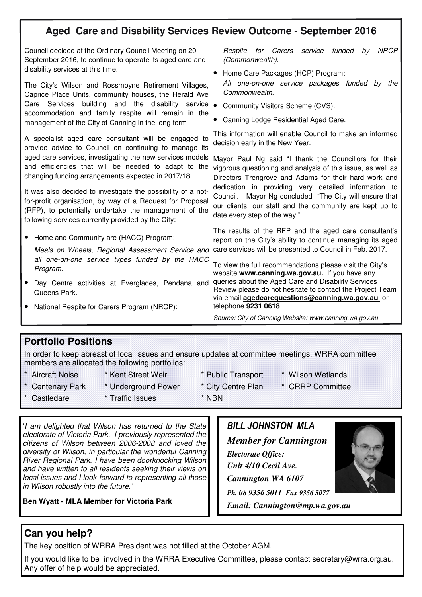# **Aged Care and Disability Services Review Outcome - September 2016**

Council decided at the Ordinary Council Meeting on 20 September 2016, to continue to operate its aged care and disability services at this time.

The City's Wilson and Rossmoyne Retirement Villages, Caprice Place Units, community houses, the Herald Ave Care Services building and the disability service • Community Visitors Scheme (CVS). accommodation and family respite will remain in the management of the City of Canning in the long term.

A specialist aged care consultant will be engaged to provide advice to Council on continuing to manage its aged care services, investigating the new services models Mayor Paul Ng said "I thank the Councillors for their and efficiencies that will be needed to adapt to the changing funding arrangements expected in 2017/18.

It was also decided to investigate the possibility of a notfor-profit organisation, by way of a Request for Proposal (RFP), to potentially undertake the management of the following services currently provided by the City:

• Home and Community are (HACC) Program:

Meals on Wheels, Regional Assessment Service and care services will be presented to Council in Feb. 2017. *all one-on-one service types funded by the HACC Program.* 

- Day Centre activities at Everglades, Pendana and Queens Park.
- National Respite for Carers Program (NRCP):

*Respite for Carers service funded by NRCP (Commonwealth).* 

- Home Care Packages (HCP) Program: *All one-on-one service packages funded by the Commonwealth.*
- 
- Canning Lodge Residential Aged Care.

This information will enable Council to make an informed decision early in the New Year.

vigorous questioning and analysis of this issue, as well as Directors Trengrove and Adams for their hard work and dedication in providing very detailed information to Council. Mayor Ng concluded "The City will ensure that our clients, our staff and the community are kept up to date every step of the way."

The results of the RFP and the aged care consultant's report on the City's ability to continue managing its aged

To view the full recommendations please visit the City's website **www.canning.wa.gov.au.** If you have any queries about the Aged Care and Disability Services Review please do not hesitate to contact the Project Team via email **agedcarequestions@canning.wa.gov.au** or telephone **9231 0618**.

*Source: City of Canning Website: www.canning.wa.gov.au*

#### **Portfolio Positions**

In order to keep abreast of local issues and ensure updates at committee meetings, WRRA committee members are allocated the following portfolios:

- 
- \* Aircraft Noise \* Kent Street Weir \* Public Transport \* Wilson Wetlands
- 
- 
- \* Centenary Park \* Underground Power \* City Centre Plan \* CRRP Committee
- -
- 

\* Castledare \* Traffic Issues \* NBN

- 
- 

'*I am delighted that Wilson has returned to the State electorate of Victoria Park. I previously represented the citizens of Wilson between 2006-2008 and loved the diversity of Wilson, in particular the wonderful Canning River Regional Park. I have been doorknocking Wilson and have written to all residents seeking their views on local issues and I look forward to representing all those in Wilson robustly into the future.'* 

**Ben Wyatt - MLA Member for Victoria Park**

# *BILL JOHNSTON MLA Member for Cannington Electorate Office: Unit 4/10 Cecil Ave. Cannington WA 6107 Ph. 08 9356 5011 Fax 9356 5077*

*Email: Cannington@mp.wa.gov.au* 



The key position of WRRA President was not filled at the October AGM.

If you would like to be involved in the WRRA Executive Committee, please contact secretary@wrra.org.au. Any offer of help would be appreciated.